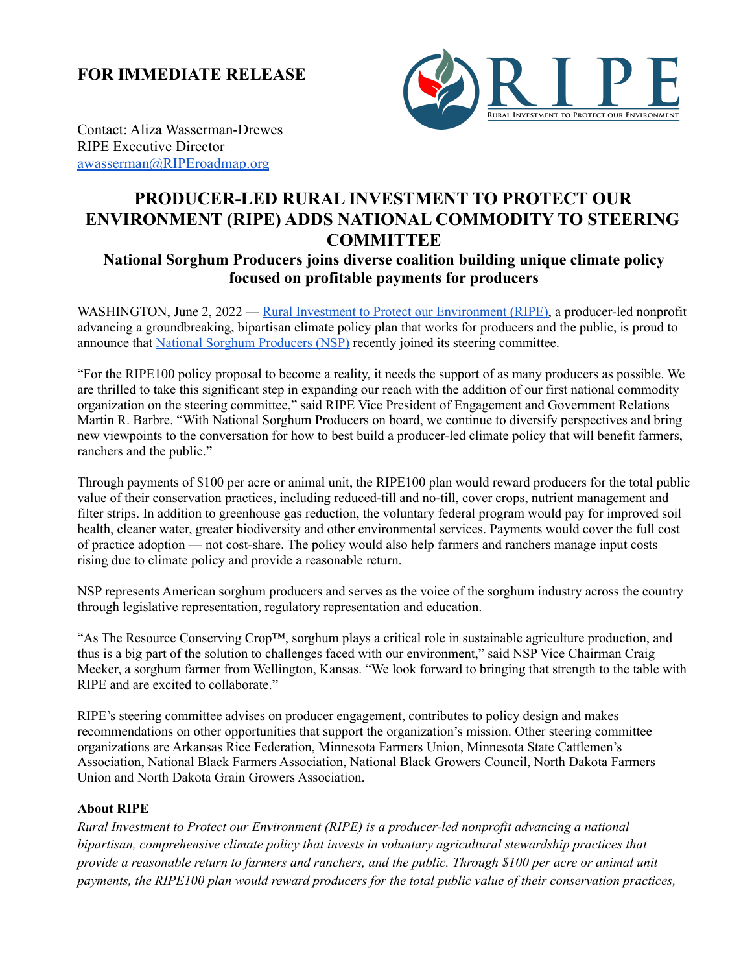**FOR IMMEDIATE RELEASE**



Contact: Aliza Wasserman-Drewes RIPE Executive Director [awasserman@RIPEroadmap.org](mailto:awasserman@RIPEroadmap.org)

## **PRODUCER-LED RURAL INVESTMENT TO PROTECT OUR ENVIRONMENT (RIPE) ADDS NATIONAL COMMODITY TO STEERING COMMITTEE**

## **National Sorghum Producers joins diverse coalition building unique climate policy focused on profitable payments for producers**

WASHINGTON, June 2, 2022 — Rural Investment to Protect our [Environment](https://www.riperoadmap.org/?utmcampaign=nsp&utmsource=media&utm_medium=pr) (RIPE), a producer-led nonprofit advancing a groundbreaking, bipartisan climate policy plan that works for producers and the public, is proud to announce that National Sorghum [Producers](https://sorghumgrowers.com/) (NSP) recently joined its steering committee.

"For the RIPE100 policy proposal to become a reality, it needs the support of as many producers as possible. We are thrilled to take this significant step in expanding our reach with the addition of our first national commodity organization on the steering committee," said RIPE Vice President of Engagement and Government Relations Martin R. Barbre. "With National Sorghum Producers on board, we continue to diversify perspectives and bring new viewpoints to the conversation for how to best build a producer-led climate policy that will benefit farmers, ranchers and the public."

Through payments of \$100 per acre or animal unit, the RIPE100 plan would reward producers for the total public value of their conservation practices, including reduced-till and no-till, cover crops, nutrient management and filter strips. In addition to greenhouse gas reduction, the voluntary federal program would pay for improved soil health, cleaner water, greater biodiversity and other environmental services. Payments would cover the full cost of practice adoption — not cost-share. The policy would also help farmers and ranchers manage input costs rising due to climate policy and provide a reasonable return.

NSP represents American sorghum producers and serves as the voice of the sorghum industry across the country through legislative representation, regulatory representation and education.

"As The Resource Conserving Crop™, sorghum plays a critical role in sustainable agriculture production, and thus is a big part of the solution to challenges faced with our environment," said NSP Vice Chairman Craig Meeker, a sorghum farmer from Wellington, Kansas. "We look forward to bringing that strength to the table with RIPE and are excited to collaborate."

RIPE's steering committee advises on producer engagement, contributes to policy design and makes recommendations on other opportunities that support the organization's mission. Other steering committee organizations are Arkansas Rice Federation, Minnesota Farmers Union, Minnesota State Cattlemen's Association, National Black Farmers Association, National Black Growers Council, North Dakota Farmers Union and North Dakota Grain Growers Association.

## **About RIPE**

*Rural Investment to Protect our Environment (RIPE) is a producer-led nonprofit advancing a national bipartisan, comprehensive climate policy that invests in voluntary agricultural stewardship practices that* provide a reasonable return to farmers and ranchers, and the public. Through \$100 per acre or animal unit *payments, the RIPE100 plan would reward producers for the total public value of their conservation practices,*